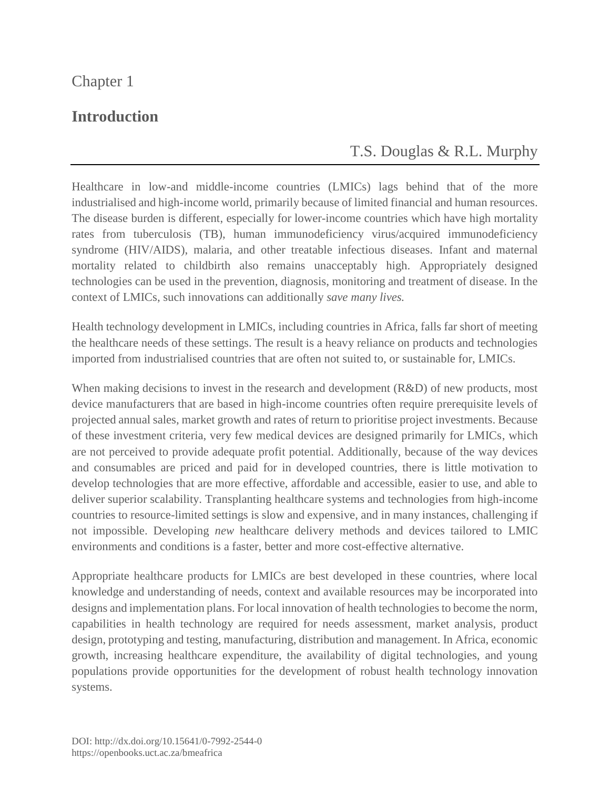## Chapter 1

## **Introduction**

## T.S. [Douglas](https://orcid.org/0000-0003-2024-4179) & [R.L. Murphy](https://orcid.org/0000-0003-3936-2052)

Healthcare in low-and middle-income countries (LMICs) lags behind that of the more industrialised and high-income world, primarily because of limited financial and human resources. The disease burden is different, especially for lower-income countries which have high mortality rates from tuberculosis (TB), human immunodeficiency virus/acquired immunodeficiency syndrome (HIV/AIDS), malaria, and other treatable infectious diseases. Infant and maternal mortality related to childbirth also remains unacceptably high. Appropriately designed technologies can be used in the prevention, diagnosis, monitoring and treatment of disease. In the context of LMICs, such innovations can additionally *save many lives.*

Health technology development in LMICs, including countries in Africa, falls far short of meeting the healthcare needs of these settings. The result is a heavy reliance on products and technologies imported from industrialised countries that are often not suited to, or sustainable for, LMICs.

When making decisions to invest in the research and development (R&D) of new products, most device manufacturers that are based in high-income countries often require prerequisite levels of projected annual sales, market growth and rates of return to prioritise project investments. Because of these investment criteria, very few medical devices are designed primarily for LMICs, which are not perceived to provide adequate profit potential. Additionally, because of the way devices and consumables are priced and paid for in developed countries, there is little motivation to develop technologies that are more effective, affordable and accessible, easier to use, and able to deliver superior scalability. Transplanting healthcare systems and technologies from high-income countries to resource-limited settings is slow and expensive, and in many instances, challenging if not impossible. Developing *new* healthcare delivery methods and devices tailored to LMIC environments and conditions is a faster, better and more cost-effective alternative.

Appropriate healthcare products for LMICs are best developed in these countries, where local knowledge and understanding of needs, context and available resources may be incorporated into designs and implementation plans. For local innovation of health technologies to become the norm, capabilities in health technology are required for needs assessment, market analysis, product design, prototyping and testing, manufacturing, distribution and management. In Africa, economic growth, increasing healthcare expenditure, the availability of digital technologies, and young populations provide opportunities for the development of robust health technology innovation systems.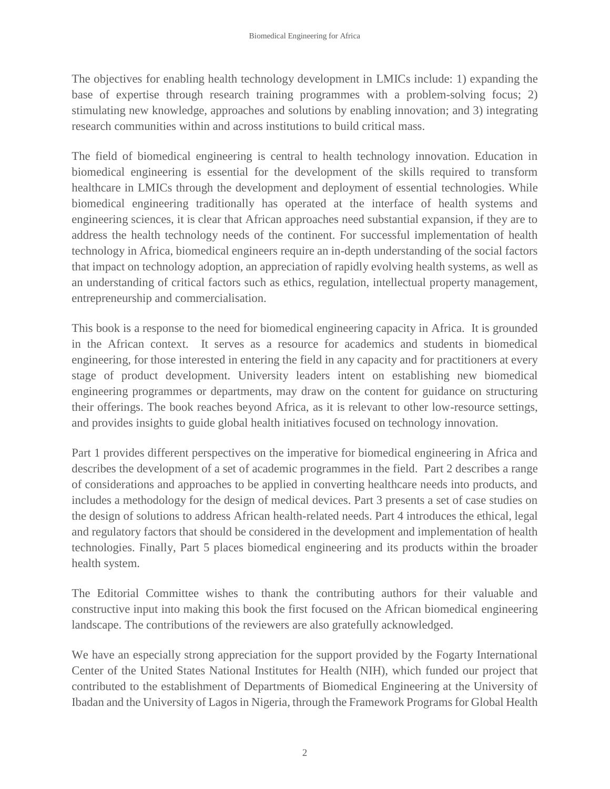The objectives for enabling health technology development in LMICs include: 1) expanding the base of expertise through research training programmes with a problem-solving focus; 2) stimulating new knowledge, approaches and solutions by enabling innovation; and 3) integrating research communities within and across institutions to build critical mass.

The field of biomedical engineering is central to health technology innovation. Education in biomedical engineering is essential for the development of the skills required to transform healthcare in LMICs through the development and deployment of essential technologies. While biomedical engineering traditionally has operated at the interface of health systems and engineering sciences, it is clear that African approaches need substantial expansion, if they are to address the health technology needs of the continent. For successful implementation of health technology in Africa, biomedical engineers require an in-depth understanding of the social factors that impact on technology adoption, an appreciation of rapidly evolving health systems, as well as an understanding of critical factors such as ethics, regulation, intellectual property management, entrepreneurship and commercialisation.

This book is a response to the need for biomedical engineering capacity in Africa. It is grounded in the African context. It serves as a resource for academics and students in biomedical engineering, for those interested in entering the field in any capacity and for practitioners at every stage of product development. University leaders intent on establishing new biomedical engineering programmes or departments, may draw on the content for guidance on structuring their offerings. The book reaches beyond Africa, as it is relevant to other low-resource settings, and provides insights to guide global health initiatives focused on technology innovation.

Part 1 provides different perspectives on the imperative for biomedical engineering in Africa and describes the development of a set of academic programmes in the field. Part 2 describes a range of considerations and approaches to be applied in converting healthcare needs into products, and includes a methodology for the design of medical devices. Part 3 presents a set of case studies on the design of solutions to address African health-related needs. Part 4 introduces the ethical, legal and regulatory factors that should be considered in the development and implementation of health technologies. Finally, Part 5 places biomedical engineering and its products within the broader health system.

The Editorial Committee wishes to thank the contributing authors for their valuable and constructive input into making this book the first focused on the African biomedical engineering landscape. The contributions of the reviewers are also gratefully acknowledged.

We have an especially strong appreciation for the support provided by the Fogarty International Center of the United States National Institutes for Health (NIH), which funded our project that contributed to the establishment of Departments of Biomedical Engineering at the University of Ibadan and the University of Lagos in Nigeria, through the Framework Programs for Global Health